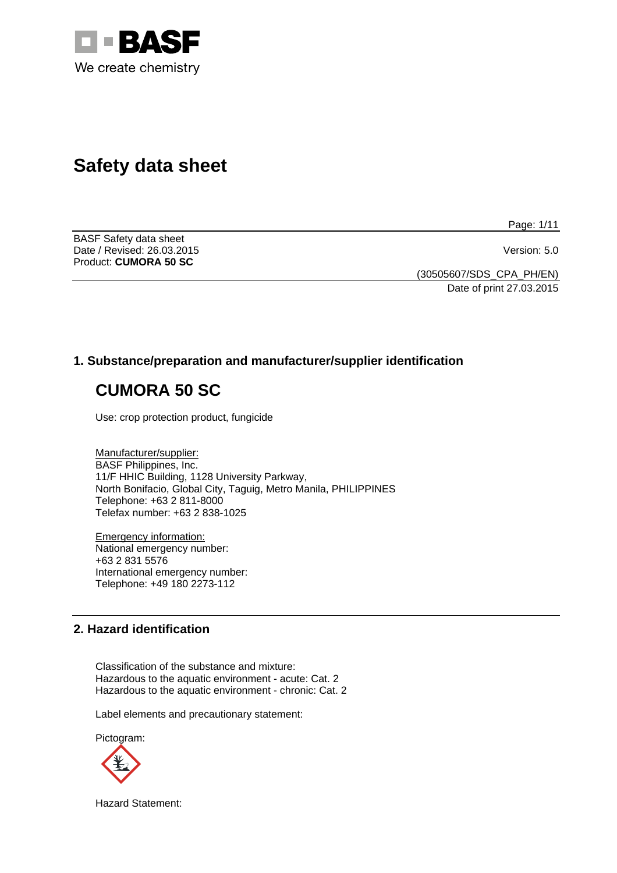

# **Safety data sheet**

Page: 1/11

BASF Safety data sheet Date / Revised: 26.03.2015 Version: 5.0 Product: **CUMORA 50 SC** 

(30505607/SDS\_CPA\_PH/EN) Date of print 27.03.2015

# **1. Substance/preparation and manufacturer/supplier identification**

# **CUMORA 50 SC**

Use: crop protection product, fungicide

Manufacturer/supplier: BASF Philippines, Inc. 11/F HHIC Building, 1128 University Parkway, North Bonifacio, Global City, Taguig, Metro Manila, PHILIPPINES Telephone: +63 2 811-8000 Telefax number: +63 2 838-1025

Emergency information: National emergency number: +63 2 831 5576 International emergency number: Telephone: +49 180 2273-112

# **2. Hazard identification**

Classification of the substance and mixture: Hazardous to the aquatic environment - acute: Cat. 2 Hazardous to the aquatic environment - chronic: Cat. 2

Label elements and precautionary statement:

Pictogram:



Hazard Statement: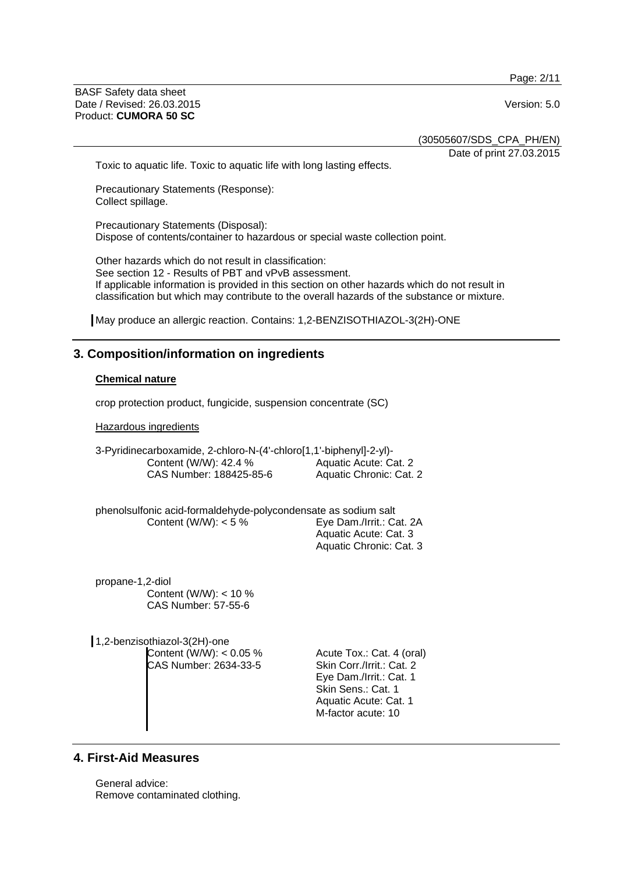Page: 2/11

BASF Safety data sheet Date / Revised: 26.03.2015 Version: 5.0 Product: **CUMORA 50 SC**

(30505607/SDS\_CPA\_PH/EN)

Date of print 27.03.2015

Toxic to aquatic life. Toxic to aquatic life with long lasting effects.

Precautionary Statements (Response): Collect spillage.

Precautionary Statements (Disposal): Dispose of contents/container to hazardous or special waste collection point.

Other hazards which do not result in classification: See section 12 - Results of PBT and vPvB assessment. If applicable information is provided in this section on other hazards which do not result in classification but which may contribute to the overall hazards of the substance or mixture.

May produce an allergic reaction. Contains: 1,2-BENZISOTHIAZOL-3(2H)-ONE

# **3. Composition/information on ingredients**

#### **Chemical nature**

crop protection product, fungicide, suspension concentrate (SC)

Hazardous ingredients

3-Pyridinecarboxamide, 2-chloro-N-(4'-chloro[1,1'-biphenyl]-2-yl)- Content (W/W): 42.4 % CAS Number: 188425-85-6 Aquatic Acute: Cat. 2 Aquatic Chronic: Cat. 2

phenolsulfonic acid-formaldehyde-polycondensate as sodium salt Content (W/W): < 5 % Eye Dam./Irrit.: Cat. 2A Aquatic Acute: Cat. 3

Aquatic Chronic: Cat. 3

propane-1,2-diol Content (W/W): < 10 % CAS Number: 57-55-6

1,2-benzisothiazol-3(2H)-one Content  $(W/W)$ : < 0.05 % CAS Number: 2634-33-5

Acute Tox.: Cat. 4 (oral) Skin Corr./Irrit.: Cat. 2 Eye Dam./Irrit.: Cat. 1 Skin Sens.: Cat. 1 Aquatic Acute: Cat. 1 M-factor acute: 10

# **4. First-Aid Measures**

General advice: Remove contaminated clothing.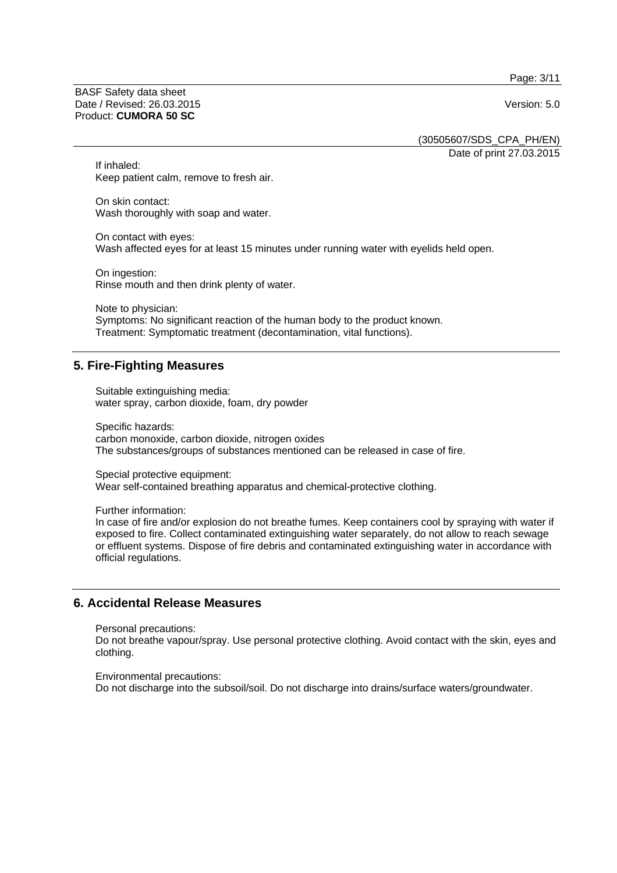Page: 3/11

BASF Safety data sheet Date / Revised: 26.03.2015 Version: 5.0 Product: **CUMORA 50 SC**

(30505607/SDS\_CPA\_PH/EN) Date of print 27.03.2015

If inhaled: Keep patient calm, remove to fresh air.

On skin contact: Wash thoroughly with soap and water.

On contact with eyes: Wash affected eyes for at least 15 minutes under running water with eyelids held open.

On ingestion: Rinse mouth and then drink plenty of water.

Note to physician: Symptoms: No significant reaction of the human body to the product known. Treatment: Symptomatic treatment (decontamination, vital functions).

# **5. Fire-Fighting Measures**

Suitable extinguishing media: water spray, carbon dioxide, foam, dry powder

Specific hazards: carbon monoxide, carbon dioxide, nitrogen oxides The substances/groups of substances mentioned can be released in case of fire.

Special protective equipment: Wear self-contained breathing apparatus and chemical-protective clothing.

Further information:

In case of fire and/or explosion do not breathe fumes. Keep containers cool by spraying with water if exposed to fire. Collect contaminated extinguishing water separately, do not allow to reach sewage or effluent systems. Dispose of fire debris and contaminated extinguishing water in accordance with official regulations.

# **6. Accidental Release Measures**

Personal precautions:

Do not breathe vapour/spray. Use personal protective clothing. Avoid contact with the skin, eyes and clothing.

Environmental precautions: Do not discharge into the subsoil/soil. Do not discharge into drains/surface waters/groundwater.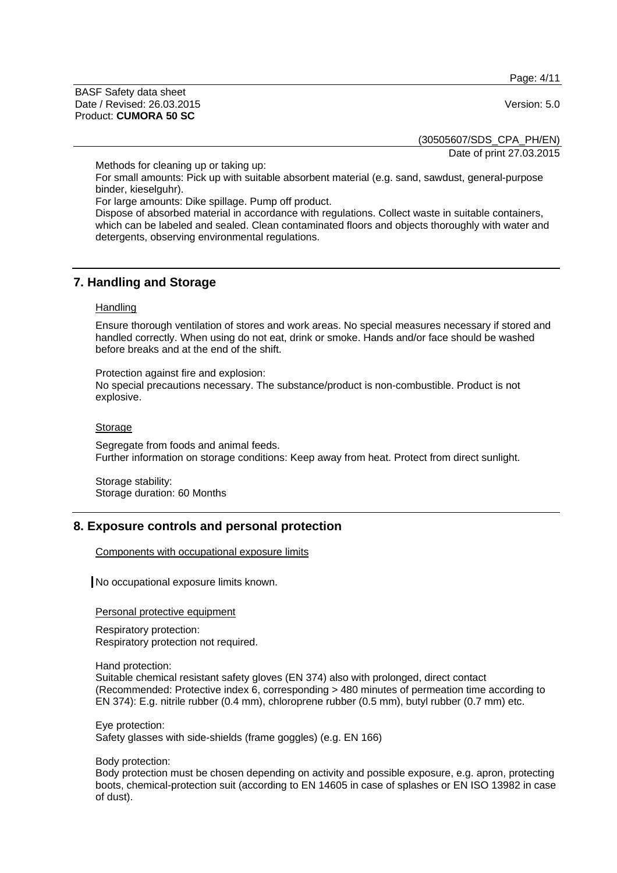Page: 4/11

BASF Safety data sheet Date / Revised: 26.03.2015 Version: 5.0 Product: **CUMORA 50 SC**

(30505607/SDS\_CPA\_PH/EN)

Date of print 27.03.2015

Methods for cleaning up or taking up:

For small amounts: Pick up with suitable absorbent material (e.g. sand, sawdust, general-purpose binder, kieselguhr).

For large amounts: Dike spillage. Pump off product.

Dispose of absorbed material in accordance with regulations. Collect waste in suitable containers, which can be labeled and sealed. Clean contaminated floors and objects thoroughly with water and detergents, observing environmental regulations.

#### **7. Handling and Storage**

#### **Handling**

Ensure thorough ventilation of stores and work areas. No special measures necessary if stored and handled correctly. When using do not eat, drink or smoke. Hands and/or face should be washed before breaks and at the end of the shift.

Protection against fire and explosion: No special precautions necessary. The substance/product is non-combustible. Product is not explosive.

#### Storage

Segregate from foods and animal feeds. Further information on storage conditions: Keep away from heat. Protect from direct sunlight.

Storage stability: Storage duration: 60 Months

# **8. Exposure controls and personal protection**

Components with occupational exposure limits

No occupational exposure limits known.

Personal protective equipment

Respiratory protection: Respiratory protection not required.

Hand protection:

Suitable chemical resistant safety gloves (EN 374) also with prolonged, direct contact (Recommended: Protective index 6, corresponding > 480 minutes of permeation time according to EN 374): E.g. nitrile rubber (0.4 mm), chloroprene rubber (0.5 mm), butyl rubber (0.7 mm) etc.

Eye protection: Safety glasses with side-shields (frame goggles) (e.g. EN 166)

Body protection:

Body protection must be chosen depending on activity and possible exposure, e.g. apron, protecting boots, chemical-protection suit (according to EN 14605 in case of splashes or EN ISO 13982 in case of dust).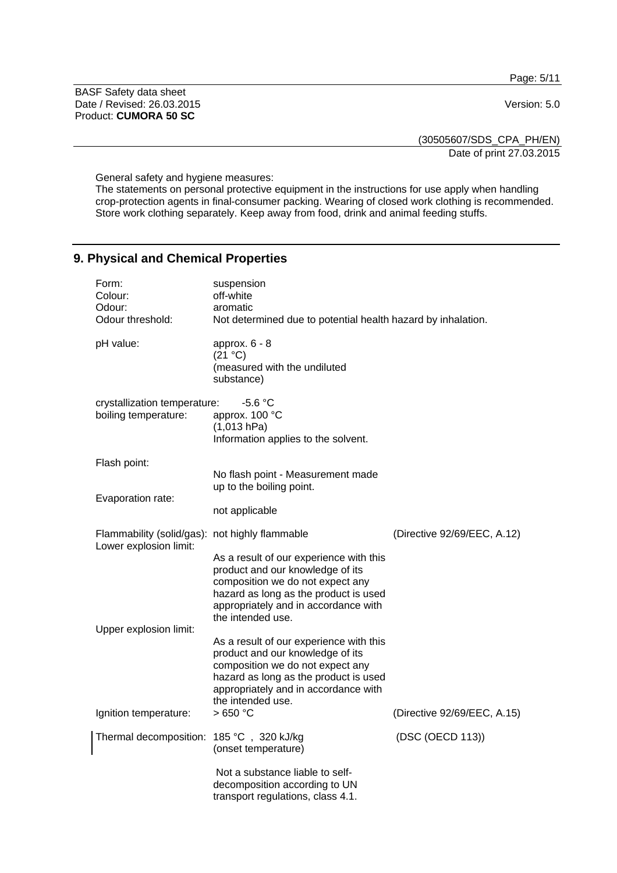Page: 5/11

BASF Safety data sheet Date / Revised: 26.03.2015 Version: 5.0 Product: **CUMORA 50 SC**

(30505607/SDS\_CPA\_PH/EN) Date of print 27.03.2015

General safety and hygiene measures:

The statements on personal protective equipment in the instructions for use apply when handling crop-protection agents in final-consumer packing. Wearing of closed work clothing is recommended. Store work clothing separately. Keep away from food, drink and animal feeding stuffs.

# **9. Physical and Chemical Properties**

| Form:<br>Colour:<br>Odour:<br>Odour threshold:                           | suspension<br>off-white<br>aromatic<br>Not determined due to potential health hazard by inhalation.                                                                                                                   |                             |
|--------------------------------------------------------------------------|-----------------------------------------------------------------------------------------------------------------------------------------------------------------------------------------------------------------------|-----------------------------|
| pH value:                                                                | approx. 6 - 8<br>(21 °C)<br>(measured with the undiluted<br>substance)                                                                                                                                                |                             |
| crystallization temperature:<br>boiling temperature:                     | $-5.6 °C$<br>approx. 100 °C<br>(1,013 hPa)<br>Information applies to the solvent.                                                                                                                                     |                             |
| Flash point:                                                             | No flash point - Measurement made<br>up to the boiling point.                                                                                                                                                         |                             |
| Evaporation rate:                                                        | not applicable                                                                                                                                                                                                        |                             |
| Flammability (solid/gas): not highly flammable<br>Lower explosion limit: |                                                                                                                                                                                                                       | (Directive 92/69/EEC, A.12) |
|                                                                          | As a result of our experience with this<br>product and our knowledge of its<br>composition we do not expect any<br>hazard as long as the product is used<br>appropriately and in accordance with<br>the intended use. |                             |
| Upper explosion limit:                                                   |                                                                                                                                                                                                                       |                             |
|                                                                          | As a result of our experience with this<br>product and our knowledge of its<br>composition we do not expect any<br>hazard as long as the product is used<br>appropriately and in accordance with<br>the intended use. |                             |
| Ignition temperature:                                                    | >650 °C                                                                                                                                                                                                               | (Directive 92/69/EEC, A.15) |
| Thermal decomposition:                                                   | 185 °C, 320 kJ/kg<br>(onset temperature)                                                                                                                                                                              | (DSC (OECD 113))            |
|                                                                          | Not a substance liable to self-<br>decomposition according to UN<br>transport regulations, class 4.1.                                                                                                                 |                             |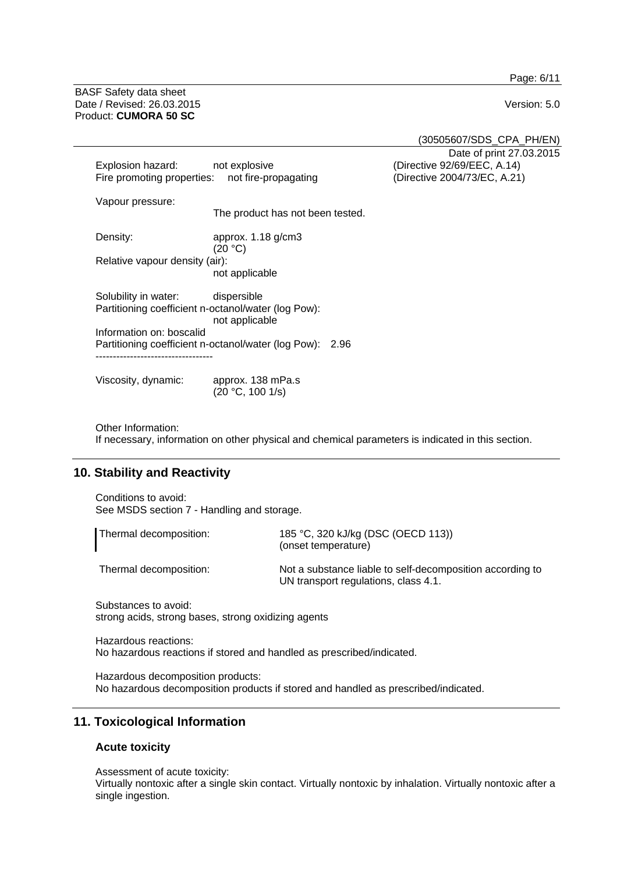Page: 6/11

BASF Safety data sheet Date / Revised: 26.03.2015 Version: 5.0 Product: **CUMORA 50 SC**

(30505607/SDS\_CPA\_PH/EN) Date of print 27.03.2015

| Explosion hazard:                                                                    | not explosive<br>Fire promoting properties: not fire-propagating                     | (Directive 92/69/EEC, A.14)<br>(Directive 2004/73/EC, A.21) |
|--------------------------------------------------------------------------------------|--------------------------------------------------------------------------------------|-------------------------------------------------------------|
| Vapour pressure:                                                                     | The product has not been tested.                                                     |                                                             |
| Density:                                                                             | approx. $1.18$ g/cm3<br>(20 °C)                                                      |                                                             |
| Relative vapour density (air):                                                       | not applicable                                                                       |                                                             |
| Solubility in water:                                                                 | dispersible<br>Partitioning coefficient n-octanol/water (log Pow):<br>not applicable |                                                             |
| Information on: boscalid<br>Partitioning coefficient n-octanol/water (log Pow): 2.96 |                                                                                      |                                                             |
| Viscosity, dynamic:                                                                  | approx. 138 mPa.s<br>(20 °C, 100 1/s)                                                |                                                             |

Other Information: If necessary, information on other physical and chemical parameters is indicated in this section.

# **10. Stability and Reactivity**

Conditions to avoid: See MSDS section 7 - Handling and storage.

| Thermal decomposition: | 185 °C, 320 kJ/kg (DSC (OECD 113))<br>(onset temperature)                                         |
|------------------------|---------------------------------------------------------------------------------------------------|
| Thermal decomposition: | Not a substance liable to self-decomposition according to<br>UN transport regulations, class 4.1. |

Substances to avoid: strong acids, strong bases, strong oxidizing agents

Hazardous reactions: No hazardous reactions if stored and handled as prescribed/indicated.

Hazardous decomposition products: No hazardous decomposition products if stored and handled as prescribed/indicated.

# **11. Toxicological Information**

### **Acute toxicity**

Assessment of acute toxicity:

Virtually nontoxic after a single skin contact. Virtually nontoxic by inhalation. Virtually nontoxic after a single ingestion.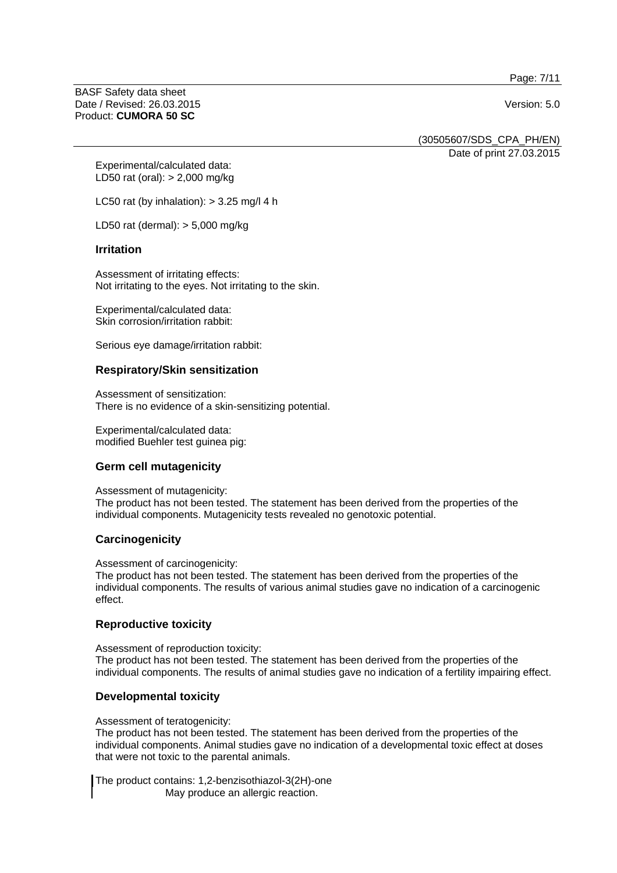Page: 7/11

BASF Safety data sheet Date / Revised: 26.03.2015 Version: 5.0 Product: **CUMORA 50 SC**

(30505607/SDS\_CPA\_PH/EN)

Date of print 27.03.2015

Experimental/calculated data: LD50 rat (oral): > 2,000 mg/kg

LC50 rat (by inhalation):  $>$  3.25 mg/l 4 h

LD50 rat (dermal): > 5,000 mg/kg

#### **Irritation**

Assessment of irritating effects: Not irritating to the eyes. Not irritating to the skin.

Experimental/calculated data: Skin corrosion/irritation rabbit:

Serious eye damage/irritation rabbit:

#### **Respiratory/Skin sensitization**

Assessment of sensitization: There is no evidence of a skin-sensitizing potential.

Experimental/calculated data: modified Buehler test guinea pig:

#### **Germ cell mutagenicity**

Assessment of mutagenicity:

The product has not been tested. The statement has been derived from the properties of the individual components. Mutagenicity tests revealed no genotoxic potential.

#### **Carcinogenicity**

Assessment of carcinogenicity:

The product has not been tested. The statement has been derived from the properties of the individual components. The results of various animal studies gave no indication of a carcinogenic effect.

#### **Reproductive toxicity**

Assessment of reproduction toxicity: The product has not been tested. The statement has been derived from the properties of the individual components. The results of animal studies gave no indication of a fertility impairing effect.

#### **Developmental toxicity**

Assessment of teratogenicity:

The product has not been tested. The statement has been derived from the properties of the individual components. Animal studies gave no indication of a developmental toxic effect at doses that were not toxic to the parental animals.

The product contains: 1,2-benzisothiazol-3(2H)-one May produce an allergic reaction.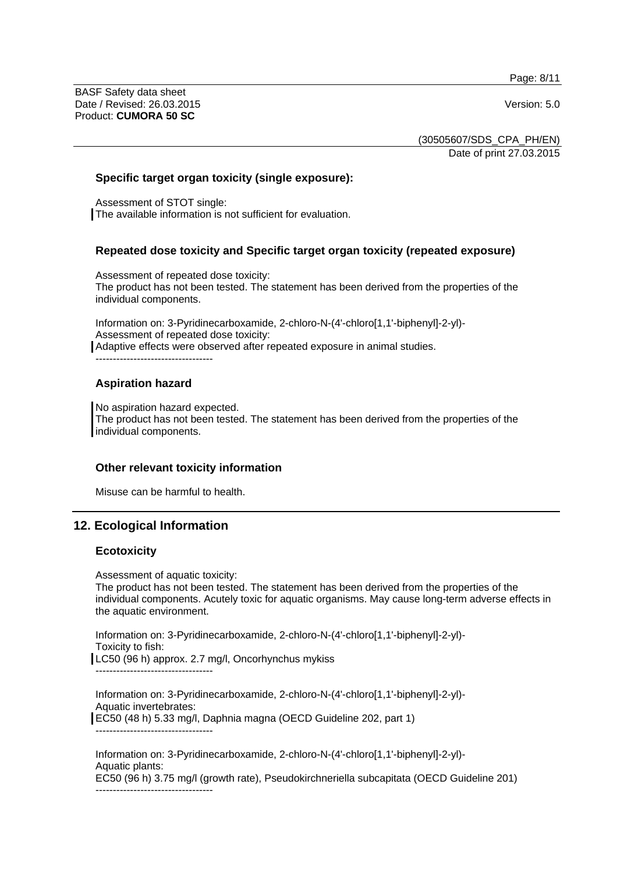Page: 8/11

BASF Safety data sheet Date / Revised: 26.03.2015 Version: 5.0 Product: **CUMORA 50 SC**

(30505607/SDS\_CPA\_PH/EN) Date of print 27.03.2015

#### **Specific target organ toxicity (single exposure):**

Assessment of STOT single: The available information is not sufficient for evaluation.

#### **Repeated dose toxicity and Specific target organ toxicity (repeated exposure)**

Assessment of repeated dose toxicity: The product has not been tested. The statement has been derived from the properties of the individual components.

Information on: 3-Pyridinecarboxamide, 2-chloro-N-(4'-chloro[1,1'-biphenyl]-2-yl)- Assessment of repeated dose toxicity:

Adaptive effects were observed after repeated exposure in animal studies.

----------------------------------

#### **Aspiration hazard**

No aspiration hazard expected. The product has not been tested. The statement has been derived from the properties of the individual components.

#### **Other relevant toxicity information**

Misuse can be harmful to health.

# **12. Ecological Information**

#### **Ecotoxicity**

Assessment of aquatic toxicity:

The product has not been tested. The statement has been derived from the properties of the individual components. Acutely toxic for aquatic organisms. May cause long-term adverse effects in the aquatic environment.

Information on: 3-Pyridinecarboxamide, 2-chloro-N-(4'-chloro[1,1'-biphenyl]-2-yl)- Toxicity to fish: LC50 (96 h) approx. 2.7 mg/l, Oncorhynchus mykiss

Information on: 3-Pyridinecarboxamide, 2-chloro-N-(4'-chloro[1,1'-biphenyl]-2-yl)- Aquatic invertebrates: EC50 (48 h) 5.33 mg/l, Daphnia magna (OECD Guideline 202, part 1)

----------------------------------

----------------------------------

Information on: 3-Pyridinecarboxamide, 2-chloro-N-(4'-chloro[1,1'-biphenyl]-2-yl)- Aquatic plants: EC50 (96 h) 3.75 mg/l (growth rate), Pseudokirchneriella subcapitata (OECD Guideline 201) ----------------------------------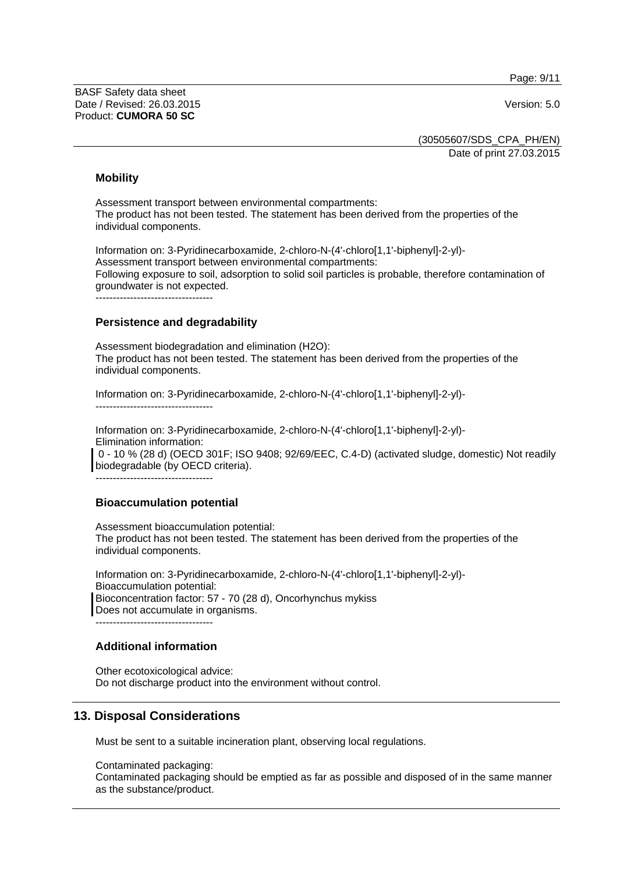Page: 9/11

BASF Safety data sheet Date / Revised: 26.03.2015 Version: 5.0 Product: **CUMORA 50 SC**

(30505607/SDS\_CPA\_PH/EN) Date of print 27.03.2015

#### **Mobility**

Assessment transport between environmental compartments: The product has not been tested. The statement has been derived from the properties of the individual components.

Information on: 3-Pyridinecarboxamide, 2-chloro-N-(4'-chloro[1,1'-biphenyl]-2-yl)- Assessment transport between environmental compartments: Following exposure to soil, adsorption to solid soil particles is probable, therefore contamination of groundwater is not expected.

----------------------------------

#### **Persistence and degradability**

Assessment biodegradation and elimination (H2O): The product has not been tested. The statement has been derived from the properties of the individual components.

Information on: 3-Pyridinecarboxamide, 2-chloro-N-(4'-chloro[1,1'-biphenyl]-2-yl)- ----------------------------------

Information on: 3-Pyridinecarboxamide, 2-chloro-N-(4'-chloro[1,1'-biphenyl]-2-yl)- Elimination information: 0 - 10 % (28 d) (OECD 301F; ISO 9408; 92/69/EEC, C.4-D) (activated sludge, domestic) Not readily biodegradable (by OECD criteria). ----------------------------------

#### **Bioaccumulation potential**

Assessment bioaccumulation potential: The product has not been tested. The statement has been derived from the properties of the individual components.

Information on: 3-Pyridinecarboxamide, 2-chloro-N-(4'-chloro[1,1'-biphenyl]-2-yl)- Bioaccumulation potential: Bioconcentration factor: 57 - 70 (28 d), Oncorhynchus mykiss Does not accumulate in organisms. ----------------------------------

#### **Additional information**

Other ecotoxicological advice: Do not discharge product into the environment without control.

# **13. Disposal Considerations**

Must be sent to a suitable incineration plant, observing local regulations.

Contaminated packaging: Contaminated packaging should be emptied as far as possible and disposed of in the same manner as the substance/product.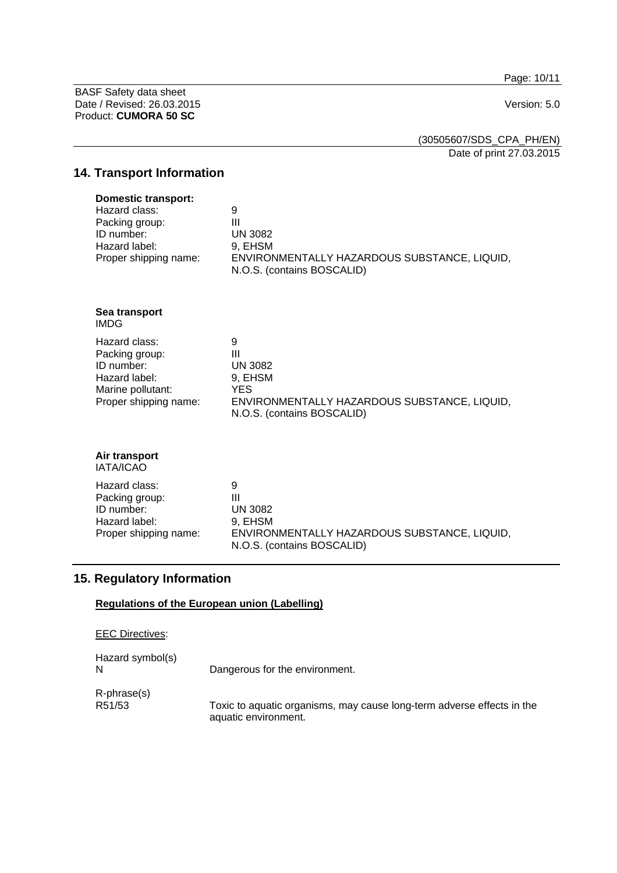Page: 10/11

BASF Safety data sheet Date / Revised: 26.03.2015 Version: 5.0 Product: **CUMORA 50 SC**

(30505607/SDS\_CPA\_PH/EN) Date of print 27.03.2015

# **14. Transport Information**

| <b>Domestic transport:</b> |                                                                            |
|----------------------------|----------------------------------------------------------------------------|
| Hazard class:              | 9                                                                          |
| Packing group:             | Ш                                                                          |
| ID number:                 | UN 3082                                                                    |
| Hazard label:              | 9. EHSM                                                                    |
| Proper shipping name:      | ENVIRONMENTALLY HAZARDOUS SUBSTANCE, LIQUID,<br>N.O.S. (contains BOSCALID) |
|                            |                                                                            |

**Sea transport**  IMDG

| Hazard class:         | 9                                            |
|-----------------------|----------------------------------------------|
| Packing group:        | Ш                                            |
| ID number:            | UN 3082                                      |
| Hazard label:         | 9. EHSM                                      |
| Marine pollutant:     | YES.                                         |
| Proper shipping name: | ENVIRONMENTALLY HAZARDOUS SUBSTANCE, LIQUID, |
|                       | N.O.S. (contains BOSCALID)                   |

#### **Air transport**  IATA/ICAO

| Hazard class:         | 9                                                                          |
|-----------------------|----------------------------------------------------------------------------|
| Packing group:        | Ш                                                                          |
| ID number:            | <b>UN 3082</b>                                                             |
| Hazard label:         | 9. EHSM                                                                    |
| Proper shipping name: | ENVIRONMENTALLY HAZARDOUS SUBSTANCE, LIQUID,<br>N.O.S. (contains BOSCALID) |

# **15. Regulatory Information**

### **Regulations of the European union (Labelling)**

| <b>EEC Directives:</b> |                                                                                                |
|------------------------|------------------------------------------------------------------------------------------------|
| Hazard symbol(s)<br>N  | Dangerous for the environment.                                                                 |
| R-phrase(s)<br>R51/53  | Toxic to aquatic organisms, may cause long-term adverse effects in the<br>aquatic environment. |